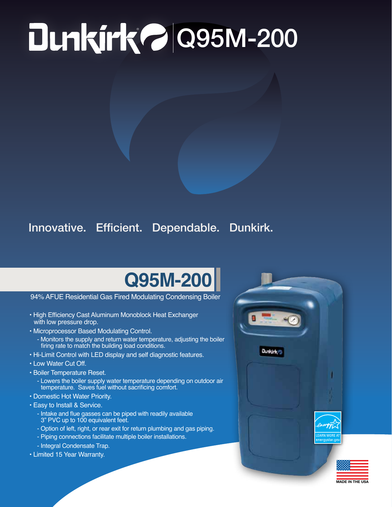## ® Q95M-200

## Innovative. Efficient. Dependable. Dunkirk.

## **Q95M-200**

94% AFUE Residential Gas Fired Modulating Condensing Boiler

- High Efficiency Cast Aluminum Monoblock Heat Exchanger with low pressure drop.
- Microprocessor Based Modulating Control.
	- Monitors the supply and return water temperature, adjusting the boiler firing rate to match the building load conditions.
- Hi-Limit Control with LED display and self diagnostic features.
- Low Water Cut Off.
- Boiler Temperature Reset.
	- Lowers the boiler supply water temperature depending on outdoor air temperature. Saves fuel without sacrificing comfort.
- Domestic Hot Water Priority.
- Easy to Install & Service.
	- Intake and flue gasses can be piped with readily available 3" PVC up to 100 equivalent feet.
	- Option of left, right, or rear exit for return plumbing and gas piping.
	- Piping connections facilitate multiple boiler installations.
	- Integral Condensate Trap.
- Limited 15 Year Warranty.



MADE IN THE USA